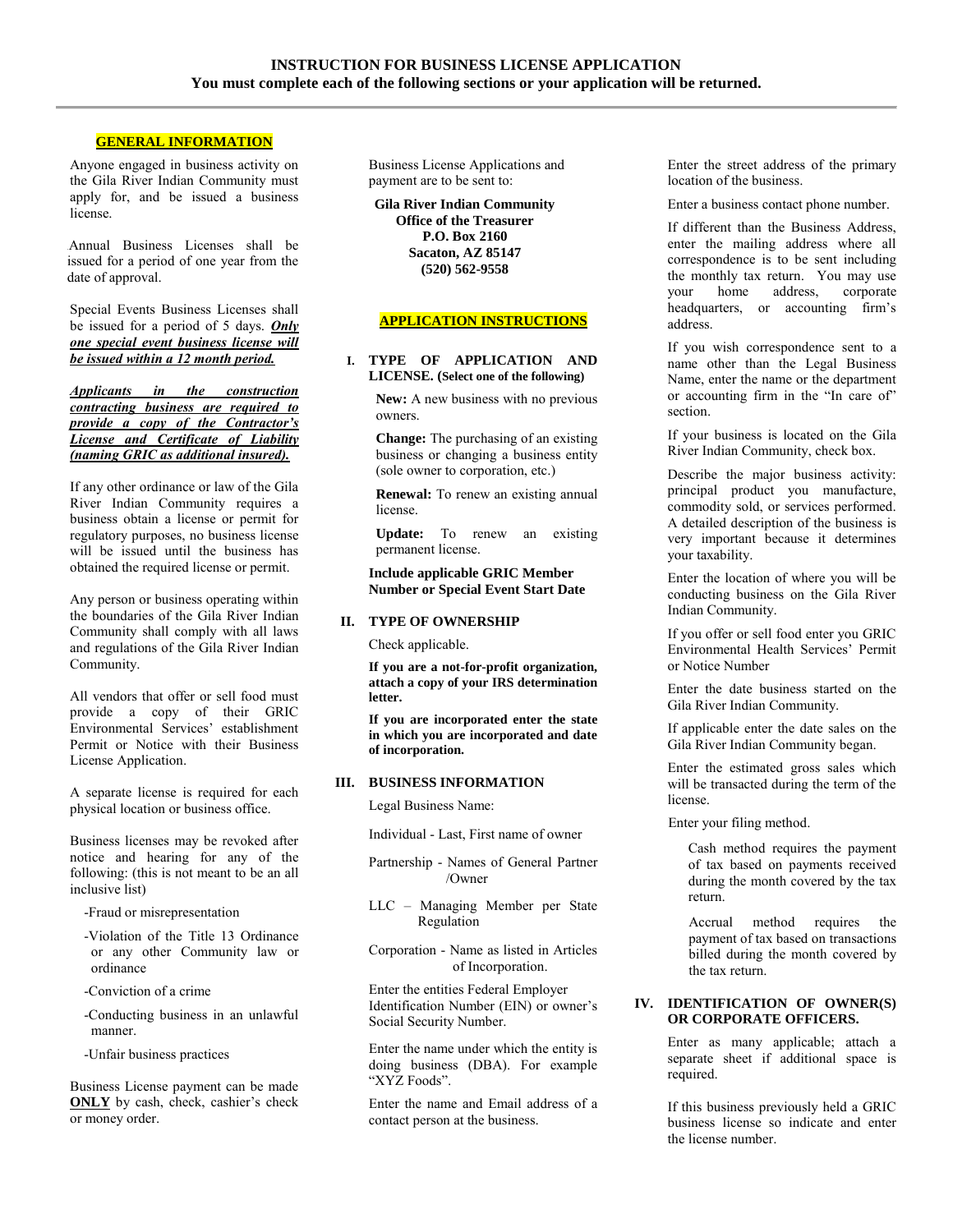#### **GENERAL INFORMATION**

Anyone engaged in business activity on the Gila River Indian Community must apply for, and be issued a business license.

.Annual Business Licenses shall be issued for a period of one year from the date of approval.

Special Events Business Licenses shall be issued for a period of 5 days. *Only one special event business license will be issued within a 12 month period.*

*Applicants in the construction contracting business are required to provide a copy of the Contractor's License and Certificate of Liability (naming GRIC as additional insured).*

If any other ordinance or law of the Gila River Indian Community requires a business obtain a license or permit for regulatory purposes, no business license will be issued until the business has obtained the required license or permit.

Any person or business operating within the boundaries of the Gila River Indian Community shall comply with all laws and regulations of the Gila River Indian Community.

All vendors that offer or sell food must provide a copy of their GRIC Environmental Services' establishment Permit or Notice with their Business License Application.

A separate license is required for each physical location or business office.

Business licenses may be revoked after notice and hearing for any of the following: (this is not meant to be an all inclusive list)

-Fraud or misrepresentation

- -Violation of the Title 13 Ordinance or any other Community law or ordinance
- -Conviction of a crime
- -Conducting business in an unlawful manner.

-Unfair business practices

Business License payment can be made **ONLY** by cash, check, cashier's check or money order.

Business License Applications and payment are to be sent to:

**Gila River Indian Community Office of the Treasurer P.O. Box 2160 Sacaton, AZ 85147 (520) 562-9558** 

#### **APPLICATION INSTRUCTIONS**

#### **I. TYPE OF APPLICATION AND LICENSE. (Select one of the following)**

**New:** A new business with no previous owners.

**Change:** The purchasing of an existing business or changing a business entity (sole owner to corporation, etc.)

**Renewal:** To renew an existing annual license.

**Update:** To renew an existing permanent license.

#### **Include applicable GRIC Member Number or Special Event Start Date**

#### **II. TYPE OF OWNERSHIP**

Check applicable.

**If you are a not-for-profit organization, attach a copy of your IRS determination letter.** 

**If you are incorporated enter the state in which you are incorporated and date of incorporation.** 

#### **III. BUSINESS INFORMATION**

Legal Business Name:

Individual - Last, First name of owner

Partnership - Names of General Partner /Owner

LLC – Managing Member per State Regulation

Corporation - Name as listed in Articles of Incorporation.

Enter the entities Federal Employer Identification Number (EIN) or owner's Social Security Number.

Enter the name under which the entity is doing business (DBA). For example "XYZ Foods".

Enter the name and Email address of a contact person at the business.

Enter the street address of the primary location of the business.

Enter a business contact phone number.

If different than the Business Address, enter the mailing address where all correspondence is to be sent including the monthly tax return. You may use<br>your home address, corporate your home address, headquarters, or accounting firm's address.

If you wish correspondence sent to a name other than the Legal Business Name, enter the name or the department or accounting firm in the "In care of" section.

If your business is located on the Gila River Indian Community, check box.

Describe the major business activity: principal product you manufacture, commodity sold, or services performed. A detailed description of the business is very important because it determines your taxability.

Enter the location of where you will be conducting business on the Gila River Indian Community.

If you offer or sell food enter you GRIC Environmental Health Services' Permit or Notice Number

Enter the date business started on the Gila River Indian Community.

If applicable enter the date sales on the Gila River Indian Community began.

Enter the estimated gross sales which will be transacted during the term of the license.

Enter your filing method.

Cash method requires the payment of tax based on payments received during the month covered by the tax return.

Accrual method requires the payment of tax based on transactions billed during the month covered by the tax return.

#### **IV. IDENTIFICATION OF OWNER(S) OR CORPORATE OFFICERS.**

Enter as many applicable; attach a separate sheet if additional space is required.

If this business previously held a GRIC business license so indicate and enter the license number.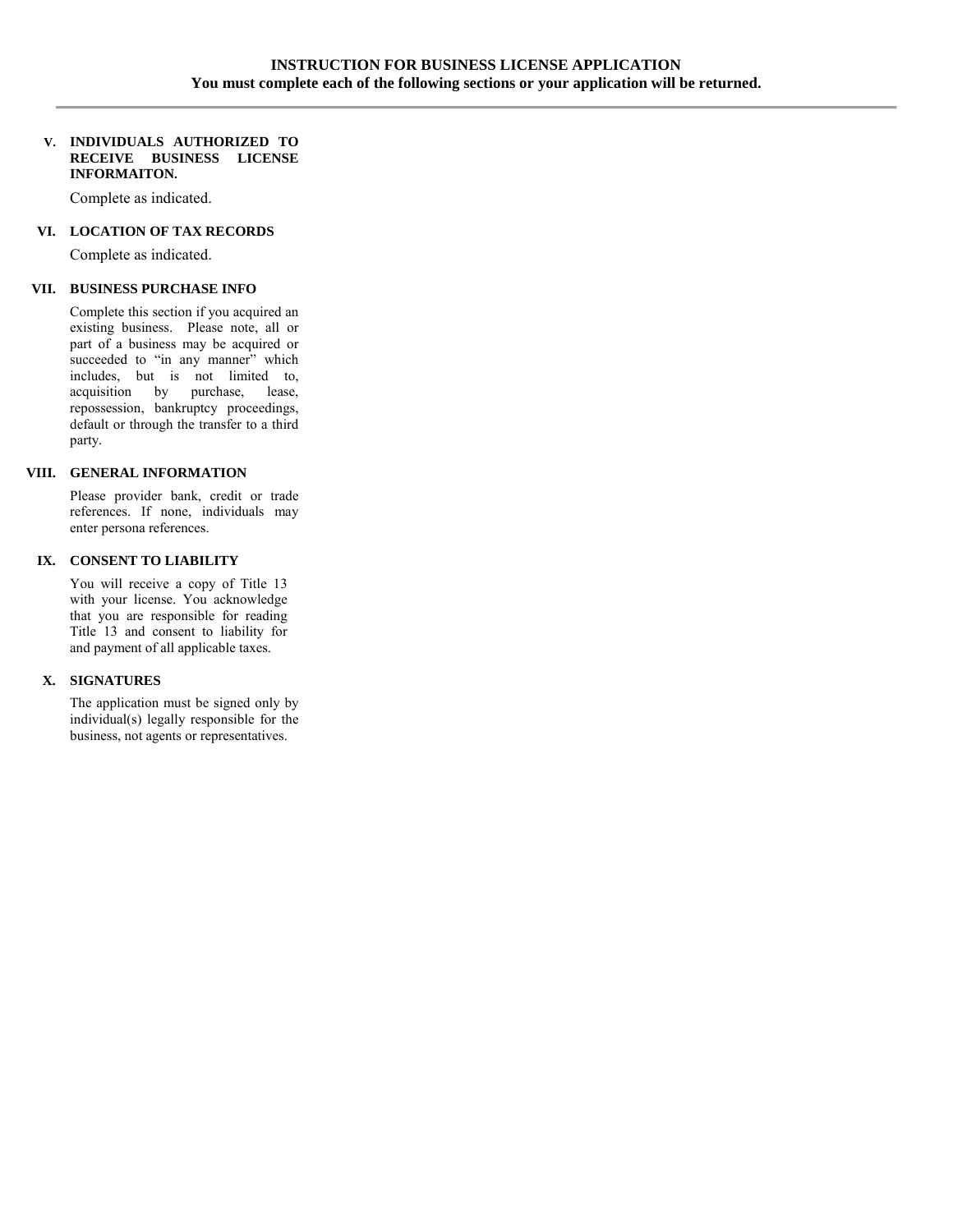#### **V. INDIVIDUALS AUTHORIZED TO RECEIVE BUSINESS LICENSE INFORMAITON.**

Complete as indicated.

#### **VI. LOCATION OF TAX RECORDS**

Complete as indicated.

#### **VII. BUSINESS PURCHASE INFO**

Complete this section if you acquired an existing business. Please note, all or part of a business may be acquired or succeeded to "in any manner" which includes, but is not limited to, acquisition by purchase, lease, repossession, bankruptcy proceedings, default or through the transfer to a third party.

#### **VIII. GENERAL INFORMATION**

Please provider bank, credit or trade references. If none, individuals may enter persona references.

#### **IX. CONSENT TO LIABILITY**

You will receive a copy of Title 13 with your license. You acknowledge that you are responsible for reading Title 13 and consent to liability for and payment of all applicable taxes.

#### **X. SIGNATURES**

The application must be signed only by individual(s) legally responsible for the business, not agents or representatives.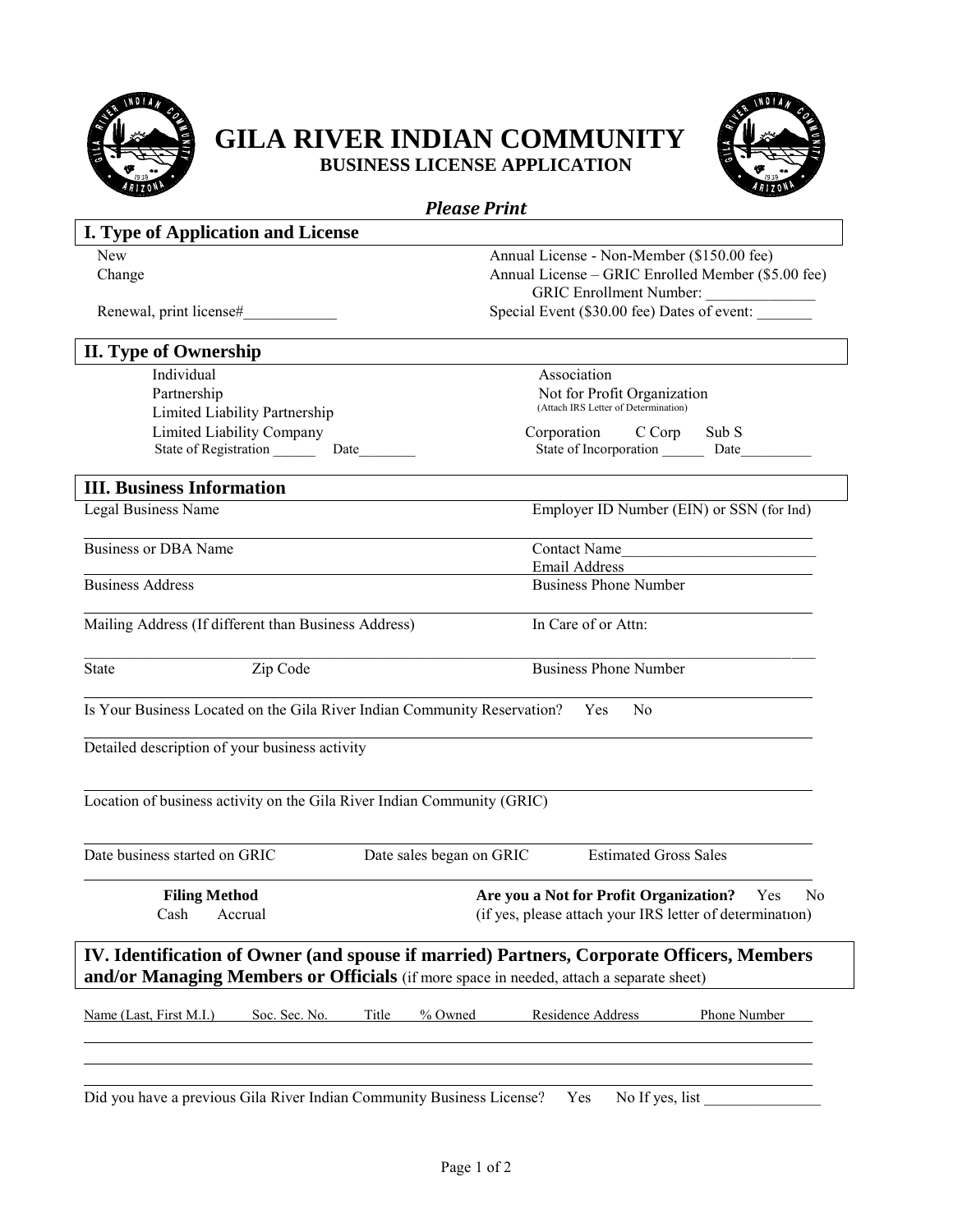

 $\overline{a}$ 

 $\overline{a}$ 

 $\overline{a}$ 

 $\overline{a}$ 

 $\overline{a}$ 

## **GILA RIVER INDIAN COMMUNITY BUSINESS LICENSE APPLICATION**



*Please Print*  **I. Type of Application and License**  New Annual License - Non-Member (\$150.00 fee) Change Annual License – GRIC Enrolled Member (\$5.00 fee) GRIC Enrollment Number: Renewal, print license# Special Event (\$30.00 fee) Dates of event: **II. Type of Ownership**  Individual Association Partnership<br>
I incited I is kility Partnership<br>
I incited I is kility Partnership<br>
CAttach IRS Letter of Determination Limited Liability Partnership Limited Liability Company Corporation C Corp Sub S State of Registration \_\_\_\_\_\_ Date\_\_\_\_\_\_\_\_\_\_ State of Incorporation \_\_\_\_\_\_ Date\_\_\_ **III. Business Information**  Legal Business Name Employer ID Number (EIN) or SSN (for Ind) Business or DBA Name Contact Name Email Address<br>Business Address<br>Business Phone Business Phone Number Mailing Address (If different than Business Address) In Care of or Attn:  $\mathcal{L}_\mathcal{L} = \{ \mathcal{L}_\mathcal{L} = \{ \mathcal{L}_\mathcal{L} = \{ \mathcal{L}_\mathcal{L} = \{ \mathcal{L}_\mathcal{L} = \{ \mathcal{L}_\mathcal{L} = \{ \mathcal{L}_\mathcal{L} = \{ \mathcal{L}_\mathcal{L} = \{ \mathcal{L}_\mathcal{L} = \{ \mathcal{L}_\mathcal{L} = \{ \mathcal{L}_\mathcal{L} = \{ \mathcal{L}_\mathcal{L} = \{ \mathcal{L}_\mathcal{L} = \{ \mathcal{L}_\mathcal{L} = \{ \mathcal{L}_\mathcal{$ State  $\qquad \qquad$  Zip Code Business Phone Number Is Your Business Located on the Gila River Indian Community Reservation? Yes No Detailed description of your business activity Location of business activity on the Gila River Indian Community (GRIC) Date business started on GRIC Date sales began on GRIC Estimated Gross Sales **Filing Method Are you a Not for Profit Organization?** Yes No Cash Accrual (if yes, please attach your IRS letter of determination) **IV. Identification of Owner (and spouse if married) Partners, Corporate Officers, Members and/or Managing Members or Officials** (if more space in needed, attach a separate sheet) Name (Last, First M.I.) Soc. Sec. No. Title % Owned Residence Address Phone Number

Did you have a previous Gila River Indian Community Business License? Yes No If yes, list